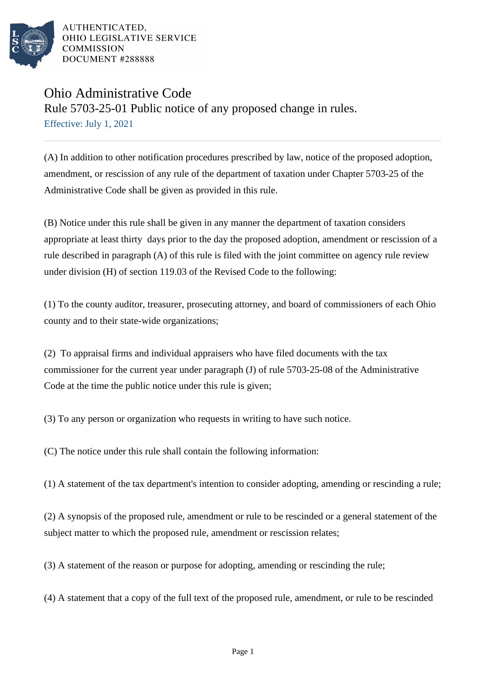

AUTHENTICATED. OHIO LEGISLATIVE SERVICE **COMMISSION** DOCUMENT #288888

## Ohio Administrative Code

Rule 5703-25-01 Public notice of any proposed change in rules. Effective: July 1, 2021

(A) In addition to other notification procedures prescribed by law, notice of the proposed adoption, amendment, or rescission of any rule of the department of taxation under Chapter 5703-25 of the Administrative Code shall be given as provided in this rule.

(B) Notice under this rule shall be given in any manner the department of taxation considers appropriate at least thirty days prior to the day the proposed adoption, amendment or rescission of a rule described in paragraph (A) of this rule is filed with the joint committee on agency rule review under division (H) of section 119.03 of the Revised Code to the following:

(1) To the county auditor, treasurer, prosecuting attorney, and board of commissioners of each Ohio county and to their state-wide organizations;

(2) To appraisal firms and individual appraisers who have filed documents with the tax commissioner for the current year under paragraph (J) of rule 5703-25-08 of the Administrative Code at the time the public notice under this rule is given;

(3) To any person or organization who requests in writing to have such notice.

(C) The notice under this rule shall contain the following information:

(1) A statement of the tax department's intention to consider adopting, amending or rescinding a rule;

(2) A synopsis of the proposed rule, amendment or rule to be rescinded or a general statement of the subject matter to which the proposed rule, amendment or rescission relates;

(3) A statement of the reason or purpose for adopting, amending or rescinding the rule;

(4) A statement that a copy of the full text of the proposed rule, amendment, or rule to be rescinded